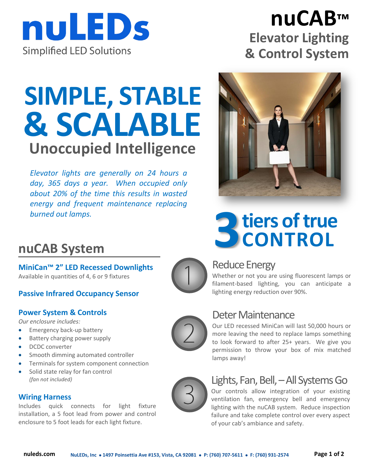

## **nuCAB™ Elevator Lighting & Control System**

# **SIMPLE, STABLE & SCALABLE Unoccupied Intelligence**

*Elevator lights are generally on 24 hours a day, 365 days a year. When occupied only about 20% of the time this results in wasted energy and frequent maintenance replacing* 



## **nuCAB System**

**MiniCan™ 2" LED Recessed Downlights** Available in quantities of 4, 6 or 9 fixtures

### **Passive Infrared Occupancy Sensor**

### **Power System & Controls**

*Our enclosure includes:*

- **Emergency back-up battery**
- Battery charging power supply
- DCDC converter
- Smooth dimming automated controller
- **•** Terminals for system component connection
- Solid state relay for fan control *(fan not included)*

### **Wiring Harness**

Includes quick connects for light fixture installation, a 5 foot lead from power and control enclosure to 5 foot leads for each light fixture.



## Reduce Energy

Whether or not you are using fluorescent lamps or filament-based lighting, you can anticipate a lighting energy reduction over 90%.

## Deter Maintenance

Our LED recessed MiniCan will last 50,000 hours or more leaving the need to replace lamps something to look forward to after 25+ years. We give you permission to throw your box of mix matched lamps away!



## Lights, Fan, Bell, –All Systems Go

Our controls allow integration of your existing ventilation fan, emergency bell and emergency lighting with the nuCAB system. Reduce inspection failure and take complete control over every aspect of your cab's ambiance and safety.